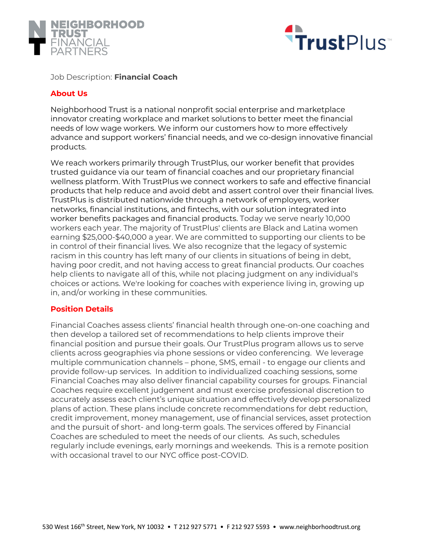



### Job Description: **Financial Coach**

# **About Us**

Neighborhood Trust is a national nonprofit social enterprise and marketplace innovator creating workplace and market solutions to better meet the financial needs of low wage workers. We inform our customers how to more effectively advance and support workers' financial needs, and we co-design innovative financial products.

We reach workers primarily through TrustPlus, our worker benefit that provides trusted guidance via our team of financial coaches and our proprietary financial wellness platform. With TrustPlus we connect workers to safe and effective financial products that help reduce and avoid debt and assert control over their financial lives. TrustPlus is distributed nationwide through a network of employers, worker networks, financial institutions, and fintechs, with our solution integrated into worker benefits packages and financial products. Today we serve nearly 10,000 workers each year. The majority of TrustPlus' clients are Black and Latina women earning \$25,000-\$40,000 a year. We are committed to supporting our clients to be in control of their financial lives. We also recognize that the legacy of systemic racism in this country has left many of our clients in situations of being in debt, having poor credit, and not having access to great financial products. Our coaches help clients to navigate all of this, while not placing judgment on any individual's choices or actions. We're looking for coaches with experience living in, growing up in, and/or working in these communities.

#### **Position Details**

Financial Coaches assess clients' financial health through one-on-one coaching and then develop a tailored set of recommendations to help clients improve their financial position and pursue their goals. Our TrustPlus program allows us to serve clients across geographies via phone sessions or video conferencing. We leverage multiple communication channels – phone, SMS, email - to engage our clients and provide follow-up services. In addition to individualized coaching sessions, some Financial Coaches may also deliver financial capability courses for groups. Financial Coaches require excellent judgement and must exercise professional discretion to accurately assess each client's unique situation and effectively develop personalized plans of action. These plans include concrete recommendations for debt reduction, credit improvement, money management, use of financial services, asset protection and the pursuit of short- and long-term goals. The services offered by Financial Coaches are scheduled to meet the needs of our clients. As such, schedules regularly include evenings, early mornings and weekends. This is a remote position with occasional travel to our NYC office post-COVID.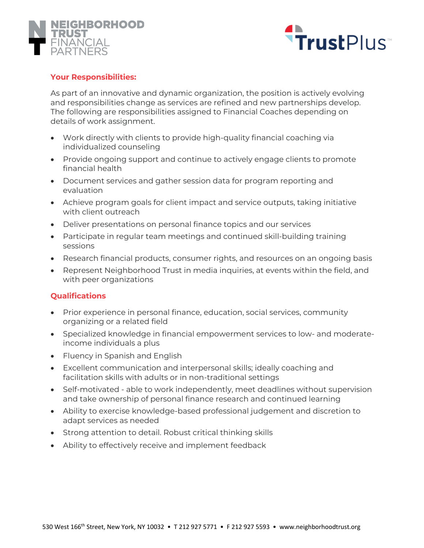



#### **Your Responsibilities:**

As part of an innovative and dynamic organization, the position is actively evolving and responsibilities change as services are refined and new partnerships develop. The following are responsibilities assigned to Financial Coaches depending on details of work assignment.

- Work directly with clients to provide high-quality financial coaching via individualized counseling
- Provide ongoing support and continue to actively engage clients to promote financial health
- Document services and gather session data for program reporting and evaluation
- Achieve program goals for client impact and service outputs, taking initiative with client outreach
- Deliver presentations on personal finance topics and our services
- Participate in regular team meetings and continued skill-building training sessions
- Research financial products, consumer rights, and resources on an ongoing basis
- Represent Neighborhood Trust in media inquiries, at events within the field, and with peer organizations

#### **Qualifications**

- Prior experience in personal finance, education, social services, community organizing or a related field
- Specialized knowledge in financial empowerment services to low- and moderateincome individuals a plus
- Fluency in Spanish and English
- Excellent communication and interpersonal skills; ideally coaching and facilitation skills with adults or in non-traditional settings
- Self-motivated able to work independently, meet deadlines without supervision and take ownership of personal finance research and continued learning
- Ability to exercise knowledge-based professional judgement and discretion to adapt services as needed
- Strong attention to detail. Robust critical thinking skills
- Ability to effectively receive and implement feedback